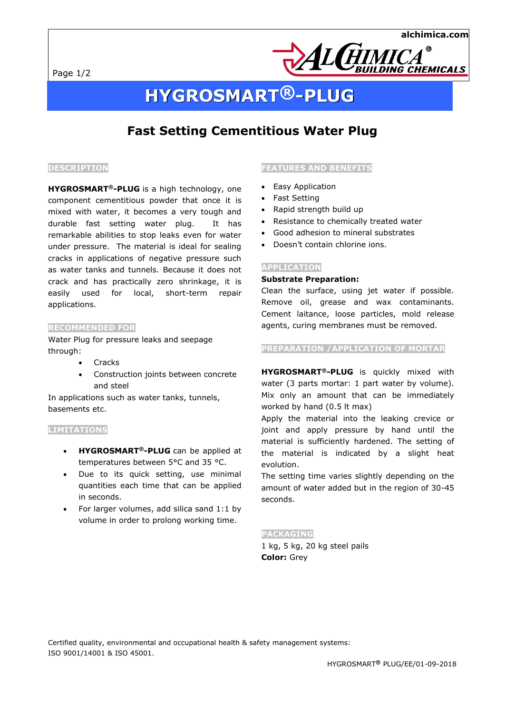Page 1/2



# **HYGROSMART®-PLUG**

# **Fast Setting Cementitious Water Plug**

### **DESCRIPTION**

**HYGROSMART®-PLUG** is a high technology, one component cementitious powder that once it is mixed with water, it becomes a very tough and durable fast setting water plug. It has remarkable abilities to stop leaks even for water under pressure. The material is ideal for sealing cracks in applications of negative pressure such as water tanks and tunnels. Because it does not crack and has practically zero shrinkage, it is easily used for local, short-term repair applications.

### **RECOMMENDED FOR**

Water Plug for pressure leaks and seepage through:

- **Cracks**
- Construction joints between concrete and steel

In applications such as water tanks, tunnels, basements etc.

#### **LIMITATIONS**

- **HYGROSMART®-PLUG** can be applied at temperatures between 5°C and 35 °C.
- Due to its quick setting, use minimal quantities each time that can be applied in seconds.
- For larger volumes, add silica sand 1:1 by volume in order to prolong working time.

### **FEATURES AND BENEFITS**

- Easy Application
- Fast Setting
- Rapid strength build up
- Resistance to chemically treated water
- Good adhesion to mineral substrates
- Doesn't contain chlorine ions.

### **APPLICATION**

# **Substrate Preparation:**

Clean the surface, using jet water if possible. Remove oil, grease and wax contaminants. Cement laitance, loose particles, mold release agents, curing membranes must be removed.

**PREPARATION /APPLICATION OF MORTAR** 

**HYGROSMART®-PLUG** is quickly mixed with water (3 parts mortar: 1 part water by volume). Mix only an amount that can be immediately worked by hand (0.5 lt max)

Apply the material into the leaking crevice or joint and apply pressure by hand until the material is sufficiently hardened. The setting of the material is indicated by a slight heat evolution.

The setting time varies slightly depending on the amount of water added but in the region of 30-45 seconds.

#### **PACKAGING**

1 kg, 5 kg, 20 kg steel pails **Color:** Grey

Certified quality, environmental and occupational health & safety management systems: ISO 9001/14001 & ISO 45001.